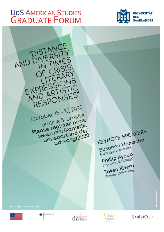# **UDS AMERICAN STUDIES GRADUATE FORUM**







**Takeo Rivera** (Boston University)





**Auswirtiges And** 



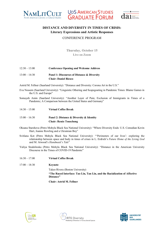





# **DISTANCE AND DIVERSITY IN TIMES OF CRISIS: Literary Expressions and Artistic Responses**

#### CONFERENCE PROGRAM

**Thursday, October 15 Live on Zoom**

| $12:30 - 13:00$ | <b>Conference Opening and Welcome Address</b> |
|-----------------|-----------------------------------------------|
| $13:00 - 14:30$ | Panel 1: Discourses of Distance & Diversity   |

**Chair: Daniel Riesco**

- Astrid M. Fellner (Saarland University): "Distance and Diversity: Corona Art in the U.S."
- Eva Nossem (Saarland University): "Linguistic Othering and Scapegoating in Pandemic Times: Blame Games in the U.S. and Europe"
- Somayeh Amin (Saarland University): "Another Layer of Pain; Exclusion of Immigrants in Times of a Pandemic; A Comparison between the United States and Germany"

| $14:30 - 15:00$ | <b>Virtual Coffee Break</b>              |
|-----------------|------------------------------------------|
| $15:00 - 16:30$ | Panel 2: Distance & Diversity & Identity |
|                 | <b>Chair: Renée Touschong</b>            |

- Oksana Starshova (Petro Mohyla Black Sea National University): "Where Diversity Ends: U.S. Comedian Kevin Hart, Joanne Rowling and a Ukrainian Boy"
- Svitlana Kot (Petro Mohyla Black Sea National University): "'Perimeters of our lives': exploring the relationship between space and body in times of crises in L. Erdrich's *Future Home of the Living God*  and M. Atwood's *Handmaid's Tale*"
- Yuliya Stodolinska (Petro Mohyla Black Sea National University): "Distance in the American University Discourse in the Times of COVID-19 Pandemic"
- 16:30 17:00 **Virtual Coffee Break**
- 17:00 18:30 **Keynote**

Takeo Rivera (Boston University) **"The Raced Interface: Tao Lin, Tan Lin, and the Racialization of Affective Distance"**

**Chair: Astrid M. Fellner**





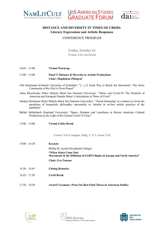





# **DISTANCE AND DIVERSITY IN TIMES OF CRISIS: Literary Expressions and Artistic Responses**

## CONFERENCE PROGRAM

**Friday, October 16 Venue: Live on Zoom**

10:45 – 11:00 **Virtual Warm-up** 11:00 – 13:00 **Panel 3: Distance & Diversity in Artistic Productions Chair: Magdalena Pfalzgraf** Ulla Stackmann (Catholic University of Eichstätt): "'[…] A Good Way to Reach the Movement': The Sonic Community of the *Dial-A-Poem* Project" Alina Mozolevska (Petro Mohyla Black Sea National University): "Music and Covid-19: The Potential of American and European Popular Music's Articulation in Times of Crisis" Natalya Dorfmann (Petro Mohyla Black Sea National University): "'Social-distancing' as a chance to revise the paradoxes of humanistic philosophy: personality vs. identity in on-line artistic practices of the pandemic" Bärbel Schlimbach (Saarland University): "Space, Distance and Loneliness in Recent American Cultural Productions in the Light of the Current Covid-19 Crisis" 13:00 – 15:00 **Virtual Coffee Break Venue: Uni Campus; bldg. C 5 3; room 3.26** 15:00 – 16:30 **Keynote** Phillip M. Ayoub (Occidental College) **"When States Come Out: Movements & the Diffusion of LGBTI Rights in Europe and North America" Chair: Eva Nossem** 16.30 – 16.45 **Closing Remarks** 16.45 – 17.30 **Covid Break** 17:30 – 18:30 **Award Ceremony: Prizes for Best Final Theses in American Studies**